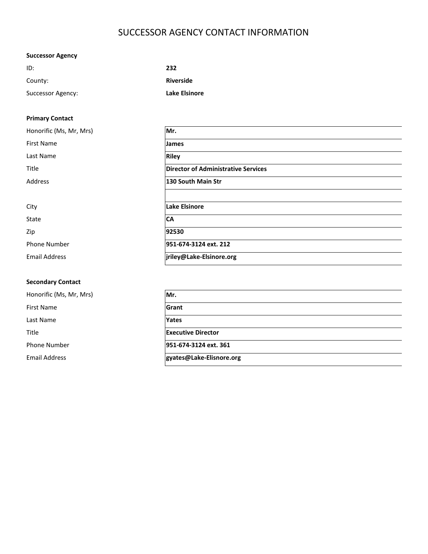# SUCCESSOR AGENCY CONTACT INFORMATION

# **Successor Agency**

| ID:               | 232              |
|-------------------|------------------|
| County:           | <b>Riverside</b> |
| Successor Agency: | Lake Elsinore    |

# **Primary Contact**

| Honorific (Ms, Mr, Mrs) | Mr.                                        |
|-------------------------|--------------------------------------------|
| <b>First Name</b>       | <b>James</b>                               |
| Last Name               | <b>Riley</b>                               |
| Title                   | <b>Director of Administrative Services</b> |
| Address                 | 130 South Main Str                         |
|                         |                                            |
| City                    | Lake Elsinore                              |
| State                   | <b>CA</b>                                  |
| Zip                     | 92530                                      |
| <b>Phone Number</b>     | 951-674-3124 ext. 212                      |
| <b>Email Address</b>    | jriley@Lake-Elsinore.org                   |

# **Secondary Contact**

Honorific (Ms, Mr, Mrs) **Mr.** First Name **Grant** Last Name **Yates** Title **Executive Director** Phone Number **951-674-3124 ext. 361** Email Address **gyates@Lake-Elisnore.org**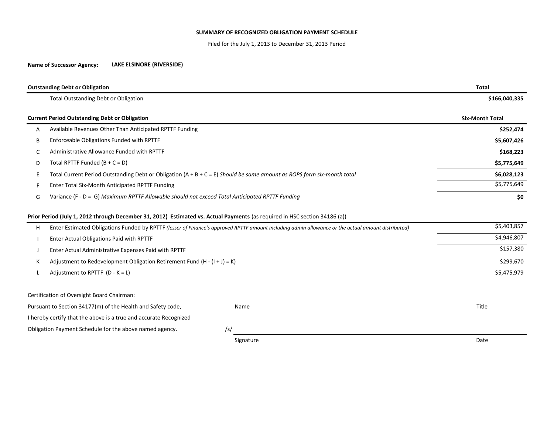### **SUMMARY OF RECOGNIZED OBLIGATION PAYMENT SCHEDULE**

Filed for the July 1, 2013 to December 31, 2013 Period

#### **Name of Successor Agency: LAKE ELSINORE (RIVERSIDE)**

|   | <b>Outstanding Debt or Obligation</b>                                                                                                              | <b>Total</b>           |  |  |
|---|----------------------------------------------------------------------------------------------------------------------------------------------------|------------------------|--|--|
|   | <b>Total Outstanding Debt or Obligation</b>                                                                                                        | \$166,040,335          |  |  |
|   | <b>Current Period Outstanding Debt or Obligation</b>                                                                                               | <b>Six-Month Total</b> |  |  |
| А | Available Revenues Other Than Anticipated RPTTF Funding                                                                                            | \$252,474              |  |  |
| B | Enforceable Obligations Funded with RPTTF                                                                                                          | \$5,607,426            |  |  |
| C | Administrative Allowance Funded with RPTTF                                                                                                         | \$168,223              |  |  |
| D | Total RPTTF Funded $(B + C = D)$                                                                                                                   | \$5,775,649            |  |  |
| Ε | Total Current Period Outstanding Debt or Obligation $(A + B + C = E)$ Should be same amount as ROPS form six-month total                           | \$6,028,123            |  |  |
| F | Enter Total Six-Month Anticipated RPTTF Funding                                                                                                    | \$5,775,649            |  |  |
| G | Variance (F - D = G) Maximum RPTTF Allowable should not exceed Total Anticipated RPTTF Funding                                                     | \$0                    |  |  |
|   | Prior Period (July 1, 2012 through December 31, 2012) Estimated vs. Actual Payments (as required in HSC section 34186 (a))                         |                        |  |  |
| Н | Enter Estimated Obligations Funded by RPTTF (lesser of Finance's approved RPTTF amount including admin allowance or the actual amount distributed) | \$5,403,857            |  |  |
|   | Enter Actual Obligations Paid with RPTTF                                                                                                           | \$4,946,807            |  |  |
|   | Enter Actual Administrative Expenses Paid with RPTTF                                                                                               | \$157,380              |  |  |
| к | Adjustment to Redevelopment Obligation Retirement Fund $(H - (I + J) = K)$                                                                         | \$299,670              |  |  |
|   | Adjustment to RPTTF $(D - K = L)$                                                                                                                  | \$5,475,979            |  |  |
|   | Certification of Oversight Board Chairman:                                                                                                         |                        |  |  |
|   | Pursuant to Section 34177(m) of the Health and Safety code,<br>Name                                                                                | Title                  |  |  |
|   | I hereby certify that the above is a true and accurate Recognized                                                                                  |                        |  |  |
|   | Obligation Payment Schedule for the above named agency.<br>/s/                                                                                     |                        |  |  |

Signature Date Date Communications and the Date Date Date Date Date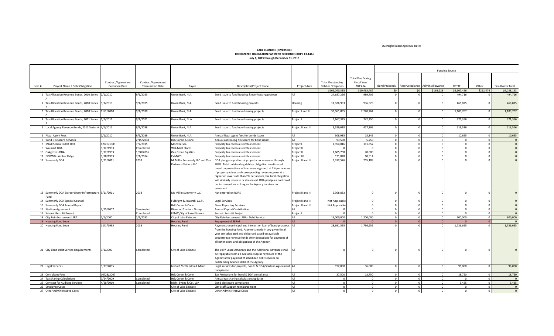Oversight Board Approval Date:

**Contract Contract Contract Contract** 

#### **LAKE ELSINORE (RIVERSIDE) RECOGNIZED OBLIGATION PAYMENT SCHEDULE (ROPS 13-14A) July 1, 2013 through December 31, 2013**

|       |                                                               |                       |                         |                                                          |                                                                                                                                                                                                                                                                                                                                                                                                                                                   |                    |                          |                         |                | <b>Funding Source</b>                         |                |             |              |                 |  |  |
|-------|---------------------------------------------------------------|-----------------------|-------------------------|----------------------------------------------------------|---------------------------------------------------------------------------------------------------------------------------------------------------------------------------------------------------------------------------------------------------------------------------------------------------------------------------------------------------------------------------------------------------------------------------------------------------|--------------------|--------------------------|-------------------------|----------------|-----------------------------------------------|----------------|-------------|--------------|-----------------|--|--|
|       |                                                               |                       |                         |                                                          |                                                                                                                                                                                                                                                                                                                                                                                                                                                   |                    |                          |                         |                |                                               |                |             |              |                 |  |  |
|       |                                                               |                       |                         |                                                          |                                                                                                                                                                                                                                                                                                                                                                                                                                                   |                    |                          | <b>Total Due During</b> |                |                                               |                |             |              |                 |  |  |
|       |                                                               | Contract/Agreement    | Contract/Agreement      |                                                          |                                                                                                                                                                                                                                                                                                                                                                                                                                                   |                    | <b>Total Outstanding</b> | Fiscal Year             |                |                                               |                |             |              |                 |  |  |
| Item# | Project Name / Debt Obligation                                | <b>Execution Date</b> | <b>Termination Date</b> | Pavee                                                    | <b>Description/Project Scope</b>                                                                                                                                                                                                                                                                                                                                                                                                                  | Project Area       | Debt or Obligation       | 2013-14                 |                | Bond Proceeds Reserve Balance Admin Allowance |                | RPTTF       | Other        | Six-Month Total |  |  |
|       |                                                               |                       |                         |                                                          |                                                                                                                                                                                                                                                                                                                                                                                                                                                   |                    | \$166,040,335            | \$10,463,487            | \$0            | \$0                                           | \$168,223      | \$5,607,426 | \$252,474    | \$6,028,123     |  |  |
|       | 1 Tax Allocation Revenue Bonds, 2010 Series                   | 2/1/2010              | 9/1/2033                | Union Bank, N.A.                                         | Bond issue to fund housing & non-housing projects                                                                                                                                                                                                                                                                                                                                                                                                 | All                | 24,687,256               | 989,706                 | $\overline{0}$ |                                               |                | 494,716     |              | 494,716         |  |  |
|       | 2 Tax Allocation Revenue Bonds, 2010 Series 5/1/2010          |                       | 9/1/2025                | Union Bank, N.A.                                         | Bond issue to fund housing projects                                                                                                                                                                                                                                                                                                                                                                                                               | Housing            | 12,186,963               | 936,525                 | $\mathbf{0}$   |                                               | $\Omega$       | 468,825     |              | 468,825         |  |  |
|       | Tax Allocation Revenue Bonds, 2010 Series                     | 11/1/2010             | 9/1/2030                | Union Bank, N.A.                                         | Bond issue to fund non-housing projects                                                                                                                                                                                                                                                                                                                                                                                                           | Project I and II   | 39,961,085               | 2,220,264               | $\overline{0}$ |                                               | $\Omega$       | 1,109,707   | $\Omega$     | 1,109,707       |  |  |
|       | 4 Tax Allocation Revenue Bonds, 2011 Series                   | 1/1/2011              | 9/1/2021                | Union Bank, N. A.                                        | Bond issue to fund non-housing projects                                                                                                                                                                                                                                                                                                                                                                                                           | Project I          | 6,667,325                | 742,250                 | $\overline{0}$ |                                               | $\Omega$       | 371,356     | $\cap$       | 371,356         |  |  |
|       | 5 Local Agency Revenue Bonds, 2011 Series A 4/1/2011          |                       | 9/1/2038                | Union Bank, N.A.                                         | Bond issue to fund non-housing projects                                                                                                                                                                                                                                                                                                                                                                                                           | Project II and III | 9,529,618                | 427,395                 | $\circ$        |                                               | $\Omega$       | 213,516     | $\Omega$     | 213,516         |  |  |
|       | 6 Fiscal Agent Fees                                           | 2/1/2010              | 9/1/2038                | Union Bank, N.A.                                         | Annual fiscal agent fees for bonds issues                                                                                                                                                                                                                                                                                                                                                                                                         | All                | 308.985                  | 15.845                  | $\overline{0}$ | $\overline{0}$                                | $\overline{0}$ | 10.655      | $\mathbf{0}$ | 10.655          |  |  |
|       | 7 Bond Disclosure Services                                    |                       | 2/15/2038               | <b>HdL Coren &amp; Cone</b>                              | Annual continuing disclosure for bond issues                                                                                                                                                                                                                                                                                                                                                                                                      | All                | 93,500                   | 5,250                   | $\overline{0}$ | $\overline{0}$                                | $\Omega$       |             | $\Omega$     | $\overline{0}$  |  |  |
|       | 8 MG/Chelsea Outlet OPA                                       | 12/26/1989            | 7/7/2015                | MG/Chelsea                                               | roperty tax revenue reimbursement                                                                                                                                                                                                                                                                                                                                                                                                                 | Project I          | 1,954,016                | 111,852                 | $\mathbf{0}$   | $\Omega$                                      | $\overline{0}$ |             | $\mathbf{0}$ | $\overline{0}$  |  |  |
|       | 9 Walmart DDA                                                 | 3/12/1993             | Completed               | <b>Wal-Mart Stores</b>                                   | Property tax revenue reimbursement                                                                                                                                                                                                                                                                                                                                                                                                                | Project II         | $\Omega$                 | $\Omega$                | $\circ$        | $\overline{0}$                                | $\overline{0}$ |             | $\mathbf{0}$ | $\overline{0}$  |  |  |
|       | 10 Oakgroves DDA                                              | 3/12/1993             | 1/30/2016               | Oak Grove Equities                                       | Property tax revenue reimbursement                                                                                                                                                                                                                                                                                                                                                                                                                | Project II         | 2,605,758                | 70,000                  | $\overline{0}$ | $\Omega$                                      | $\Omega$       |             | $\Omega$     | $\overline{0}$  |  |  |
|       | 11 EVMWD - Amber Ridge                                        | 3/18/1993             | 7/1/2014                | <b>FVMWD</b>                                             | roperty tax revenue reimbursement                                                                                                                                                                                                                                                                                                                                                                                                                 | Project III        | 121.828                  | 60.914                  | $\circ$        | $\Omega$                                      | $\Omega$       |             | $\Omega$     | $\overline{0}$  |  |  |
|       | 12 Summerly DDA                                               | 3/11/2011             | 2038                    | McMillin Summerly LLC and Civic<br>Partners-Elsinore LLC | DDA pledges a portion of property tax revenues through<br>2038. Total outstanding debt or obligation is estimated<br>based on projections of tax revenue growth at 2% per annum<br>If property values and corresponding revenues grow at a<br>higher or lower rate than 2% per annum, the total obligation<br>will similarly increase or decreased. DDA pledges a portion of<br>tax increment for so long as the Agency receives tax<br>increment | Project II and III | 8,312,576                | 205,188                 | $\overline{0}$ |                                               |                |             |              | $\mathbf{0}$    |  |  |
|       | 13 Summerly DDA Extraordinary Infrastructure 3/11/2011<br>und |                       | 2038                    | Mc Millin Summerly LLC                                   | Not entered on ROPS                                                                                                                                                                                                                                                                                                                                                                                                                               | Project II and III | 2,308,833                | $\overline{0}$          | $\circ$        | $\Omega$                                      | $\mathbf{0}$   |             |              | $\mathbf{0}$    |  |  |
|       | 14 Summerly DDA Special Counsel                               |                       |                         | Fulbright & Jaworski L.L.P                               | Legal Services                                                                                                                                                                                                                                                                                                                                                                                                                                    | Project II and III | Not Applicable           | $\overline{0}$          | $\circ$        | $\overline{0}$                                | $\circ$        |             | $\Omega$     | $\Omega$        |  |  |
|       | 15 Summerly DDA Annual Report                                 |                       |                         | HdL Coren & Cone                                         | <b>Fiscal Reporting Services</b>                                                                                                                                                                                                                                                                                                                                                                                                                  | Project II and III | Not Applicable           | $\overline{0}$          | $\circ$        | $\overline{0}$                                | $\overline{0}$ |             | $\Omega$     | $\Omega$        |  |  |
|       | 16 Stadium Agreement                                          | 7/15/2007             | Terminated              | Diamond Stadium Group                                    | Annual Capital Contribution                                                                                                                                                                                                                                                                                                                                                                                                                       | All                |                          | $\overline{0}$          | $\overline{0}$ | $\Omega$                                      | $\overline{0}$ |             | $\mathbf{0}$ | $\overline{0}$  |  |  |
|       | 17 Seismic Retrofit Project                                   |                       | Completed               | FEMA\City of Lake Elsinore                               | Seismic Retrofit Project                                                                                                                                                                                                                                                                                                                                                                                                                          | Project I          | $\Omega$                 | $\overline{0}$          | $\overline{0}$ | $\overline{0}$                                | $\overline{0}$ |             | $\circ$      | $\overline{0}$  |  |  |
|       | 18 City Reimbursement LERA                                    | 7/1/2000              | 2/1/2032                | City of Lake Elsinore                                    | City Reimbursement LERA - Debt Service                                                                                                                                                                                                                                                                                                                                                                                                            | All                | 15,000,000               | 1,200,000               | $\mathbf{0}$   | $\overline{0}$                                | $\overline{0}$ | 600,000     | $\circ$      | 600,000         |  |  |
|       | 19 Housing Fund Loan                                          |                       |                         | <b>Housing Fund</b>                                      | <b>Repayment of SERAF</b>                                                                                                                                                                                                                                                                                                                                                                                                                         | <b>All</b>         |                          |                         | $\overline{0}$ |                                               | $\Omega$       |             | $\Omega$     | $\mathbf{0}$    |  |  |
|       | 20 Housing Fund Loan                                          | 12/1/1995             | 2038                    | <b>Housing Fund</b>                                      | Payments on principal and interest on loan of bond proceeds All<br>from the housing fund. Payments made in any given fiscal<br>year are calculated and disbursed based on available<br>property tax revenue funds after deductions for payment of<br>all other debts and obligations of the Agency.                                                                                                                                               |                    | 28,691,595               | 1,736,655               | $\Omega$       |                                               |                | 1,736,655   |              | 1,736,655       |  |  |
|       | 21 City Bond Debt Service Requirements                        | 7/1/2000              | Completed               | City of Lake Elsinore                                    | The 1997 Lease Advances and the Additional Advances shall<br>be repayable from all available surplus revenues of the<br>Agency after payment of scheduled debt services on<br>outstanding bonded debt of the Agency.                                                                                                                                                                                                                              |                    | $\Omega$                 | $\Omega$                | $\Omega$       |                                               | $\Omega$       |             |              | $\Omega$        |  |  |
|       | 22 Legal Services                                             | 9/27/2005             |                         | Leibold McClendon & Mann                                 | Legal services for projects, bonds & DDA/Stadium Agreement All<br>compliance.                                                                                                                                                                                                                                                                                                                                                                     |                    | 192,000                  | 96,000                  | $\overline{0}$ |                                               | $\Omega$       | 96,000      | $\Omega$     | 96,000          |  |  |
|       | 23 Consultant Fees                                            | 10/23/2007            |                         | <b>HdL Coren &amp; Cone</b>                              | Tax Projections for bond & DDA compliance                                                                                                                                                                                                                                                                                                                                                                                                         | All                | 37.500                   | 18.750                  | $\circ$        | $\overline{0}$                                | $\overline{0}$ | 18.750      | $\circ$      | 18,750          |  |  |
|       | 24 Tax Sharing Calculations                                   | 7/24/2009             | Completed               | <b>HdL Coren &amp; Cone</b>                              | Annual tax sharing calculations updates                                                                                                                                                                                                                                                                                                                                                                                                           | All                | $\Omega$                 | $\overline{0}$          | $\overline{0}$ | $\Omega$                                      | $\overline{0}$ |             | $\mathbf{0}$ | $\Omega$        |  |  |
|       | 25 Contract for Auditing Services                             | 4/28/2010             | Completed               | Diehl, Evans & Co., LLP                                  | Bond disclosure compliance                                                                                                                                                                                                                                                                                                                                                                                                                        | All                | $\Omega$                 | $\overline{0}$          | $\circ$        | $\Omega$                                      | $\Omega$       | 5,425       | $\Omega$     | 5,425           |  |  |
| 26    | mployee Costs                                                 |                       |                         | City of Lake Elsinore                                    | City Staff Support reimbursement                                                                                                                                                                                                                                                                                                                                                                                                                  | All                | $\Omega$                 | $\mathbf{0}$            | $\mathbf{0}$   | $\Omega$                                      | $\overline{0}$ |             | $\Omega$     | $\overline{0}$  |  |  |
|       | 27 Other Administrative Costs                                 |                       |                         | City of Lake Elsinore                                    | <b>Other Administrative Costs</b>                                                                                                                                                                                                                                                                                                                                                                                                                 | All                | $\Omega$                 | $\overline{0}$          | $\overline{0}$ | $\Omega$                                      | $\Omega$       | $\Omega$    | $\Omega$     | $\overline{0}$  |  |  |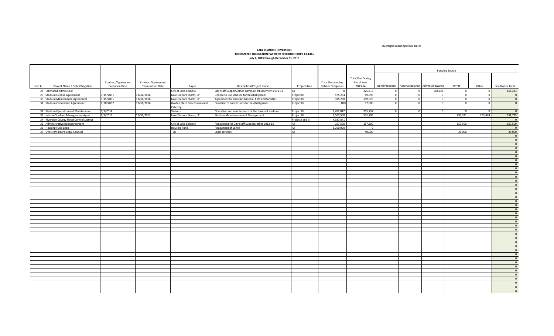Oversight Board Approval Date:

#### **LAKE ELSINORE (RIVERSIDE) RECOGNIZED OBLIGATION PAYMENT SCHEDULE (ROPS 13-14A) July 1, 2013 through December 31, 2013**

|       |                                            |                                             |                                               |                                          |                                                      |                  |                                                |                                                   | <b>Funding Source</b> |                                               |                |                |                         |                                           |
|-------|--------------------------------------------|---------------------------------------------|-----------------------------------------------|------------------------------------------|------------------------------------------------------|------------------|------------------------------------------------|---------------------------------------------------|-----------------------|-----------------------------------------------|----------------|----------------|-------------------------|-------------------------------------------|
| Item# | Project Name / Debt Obligation             | Contract/Agreement<br><b>Execution Date</b> | Contract/Agreement<br><b>Termination Date</b> | Payee                                    | <b>Description/Project Scope</b>                     | Project Area     | <b>Total Outstanding</b><br>Debt or Obligation | <b>Total Due During</b><br>Fiscal Year<br>2013-14 |                       | Bond Proceeds Reserve Balance Admin Allowance |                | RPTTF          | Other                   | Six-Month Total                           |
|       | 28 Estimated Admin Cost                    |                                             |                                               | City of Lake Elsinore                    | City Staff Support/other admin reimbursement 2012-13 | All              | $\overline{0}$                                 | 325,813                                           | $\Omega$              | $\overline{0}$                                | 168,223        | $\Omega$       | $\overline{0}$          | 168,223                                   |
|       | 29 Stadium License Agreement               | 3/15/2001                                   | 12/31/2016                                    | Lake Elsinore Storm, LP                  | License to use stadium for baseball games            | Project III      | 575,294                                        | 69,099                                            | $\circ$               | $\overline{0}$                                | $\overline{0}$ | $\overline{0}$ | $\overline{\mathbf{0}}$ | $\overline{\phantom{0}}$                  |
|       | 30 Stadium Maintenance Agreement           | 3/15/2001                                   | 12/31/2016                                    | Lake Elsinore Storm, LP                  | Agreement to maintain baseball field and facilities  | Project III      | 915,230                                        | 109,929                                           | $\Omega$              | $\overline{0}$                                | $\circ$        | $\Omega$       | $\overline{0}$          | $\overline{0}$                            |
|       |                                            |                                             |                                               |                                          |                                                      |                  | TBD                                            |                                                   |                       |                                               | $\Omega$       |                | $\Omega$                | $\overline{0}$                            |
|       | 31 Stadium Concession Agreement            | 1/30/2002                                   | 12/31/2016                                    | Golden State Concessions and<br>Catering | Provision of concessions for baseball games          | Project III      |                                                | 17,000                                            | $\Omega$              | $\Omega$                                      |                |                |                         |                                           |
|       | 32 Stadium Operation and Maintenance       | 1/1/2014                                    |                                               | Various                                  | Operation and maintenance of the baseball stadium    | Project III      | 2,492,042                                      | 355,757                                           |                       |                                               | $\Omega$       |                | $\Omega$                | $\overline{\mathbf{0}}$                   |
|       | 33 Interim Stadium Management Agmt.        | 1/1/2013                                    | 12/31/2013                                    | Lake Elsinore Storm, LP                  | Stadium Maintenance and Management                   | Project III      | 1,103,590                                      | 551,795                                           |                       |                                               |                | 299,321        | 252,474                 | 551,795                                   |
|       | 34 Riverside County Flood Control District |                                             |                                               |                                          |                                                      | Project I and II | 4,387,841                                      |                                                   |                       |                                               |                |                |                         | $\overline{\phantom{0}}$                  |
|       | 35 Administrative Reimbursement            |                                             |                                               | City of Lake Elsinore                    | Repayment for City Staff Support/other 2012-13       | All              | 157,500                                        | 157,500                                           |                       |                                               |                | 157,500        |                         | 157,500                                   |
|       | 36 Housing Fund Loan                       |                                             |                                               | Housing Fund                             | Repayment of SERAF                                   | All              | 3,750,000                                      | $\mathbf{0}$                                      |                       |                                               |                |                |                         | $\overline{\mathbf{0}}$                   |
|       | 37 Oversight Board Legal Counsel           |                                             |                                               | <b>TBD</b>                               | Legal services                                       | All              |                                                | 40,000                                            |                       |                                               |                | 25,000         |                         | 25,000                                    |
|       |                                            |                                             |                                               |                                          |                                                      |                  |                                                |                                                   |                       |                                               |                |                |                         | $\overline{\mathbf{0}}$<br>$\overline{0}$ |
|       |                                            |                                             |                                               |                                          |                                                      |                  |                                                |                                                   |                       |                                               |                |                |                         | $\overline{\mathbf{0}}$                   |
|       |                                            |                                             |                                               |                                          |                                                      |                  |                                                |                                                   |                       |                                               |                |                |                         | $\overline{\mathbf{0}}$                   |
|       |                                            |                                             |                                               |                                          |                                                      |                  |                                                |                                                   |                       |                                               |                |                |                         | $\overline{0}$                            |
|       |                                            |                                             |                                               |                                          |                                                      |                  |                                                |                                                   |                       |                                               |                |                |                         | $\overline{\mathbf{0}}$                   |
|       |                                            |                                             |                                               |                                          |                                                      |                  |                                                |                                                   |                       |                                               |                |                |                         | $\overline{0}$                            |
|       |                                            |                                             |                                               |                                          |                                                      |                  |                                                |                                                   |                       |                                               |                |                |                         | $\overline{0}$                            |
|       |                                            |                                             |                                               |                                          |                                                      |                  |                                                |                                                   |                       |                                               |                |                |                         | $\overline{\mathbf{0}}$                   |
|       |                                            |                                             |                                               |                                          |                                                      |                  |                                                |                                                   |                       |                                               |                |                |                         | $\overline{\mathbf{0}}$                   |
|       |                                            |                                             |                                               |                                          |                                                      |                  |                                                |                                                   |                       |                                               |                |                |                         | $\overline{0}$                            |
|       |                                            |                                             |                                               |                                          |                                                      |                  |                                                |                                                   |                       |                                               |                |                |                         | $\overline{\mathbf{0}}$                   |
|       |                                            |                                             |                                               |                                          |                                                      |                  |                                                |                                                   |                       |                                               |                |                |                         | $\overline{0}$                            |
|       |                                            |                                             |                                               |                                          |                                                      |                  |                                                |                                                   |                       |                                               |                |                |                         | $\overline{0}$                            |
|       |                                            |                                             |                                               |                                          |                                                      |                  |                                                |                                                   |                       |                                               |                |                |                         | $\overline{\mathbf{0}}$                   |
|       |                                            |                                             |                                               |                                          |                                                      |                  |                                                |                                                   |                       |                                               |                |                |                         | $\overline{0}$                            |
|       |                                            |                                             |                                               |                                          |                                                      |                  |                                                |                                                   |                       |                                               |                |                |                         | $\overline{0}$                            |
|       |                                            |                                             |                                               |                                          |                                                      |                  |                                                |                                                   |                       |                                               |                |                |                         | $\overline{\mathbf{0}}$                   |
|       |                                            |                                             |                                               |                                          |                                                      |                  |                                                |                                                   |                       |                                               |                |                |                         | $\overline{0}$                            |
|       |                                            |                                             |                                               |                                          |                                                      |                  |                                                |                                                   |                       |                                               |                |                |                         | $\overline{0}$                            |
|       |                                            |                                             |                                               |                                          |                                                      |                  |                                                |                                                   |                       |                                               |                |                |                         | $\overline{\mathbf{0}}$                   |
|       |                                            |                                             |                                               |                                          |                                                      |                  |                                                |                                                   |                       |                                               |                |                |                         | $\overline{0}$                            |
|       |                                            |                                             |                                               |                                          |                                                      |                  |                                                |                                                   |                       |                                               |                |                |                         | $\overline{0}$                            |
|       |                                            |                                             |                                               |                                          |                                                      |                  |                                                |                                                   |                       |                                               |                |                |                         | $\overline{\mathbf{0}}$                   |
|       |                                            |                                             |                                               |                                          |                                                      |                  |                                                |                                                   |                       |                                               |                |                |                         | $\overline{0}$                            |
|       |                                            |                                             |                                               |                                          |                                                      |                  |                                                |                                                   |                       |                                               |                |                |                         | $\overline{0}$                            |
|       |                                            |                                             |                                               |                                          |                                                      |                  |                                                |                                                   |                       |                                               |                |                |                         | $\overline{\mathbf{0}}$                   |
|       |                                            |                                             |                                               |                                          |                                                      |                  |                                                |                                                   |                       |                                               |                |                |                         | $\overline{0}$                            |
|       |                                            |                                             |                                               |                                          |                                                      |                  |                                                |                                                   |                       |                                               |                |                |                         | $\overline{0}$                            |
|       |                                            |                                             |                                               |                                          |                                                      |                  |                                                |                                                   |                       |                                               |                |                |                         | $\overline{\mathbf{0}}$                   |
|       |                                            |                                             |                                               |                                          |                                                      |                  |                                                |                                                   |                       |                                               |                |                |                         | $\overline{0}$                            |
|       |                                            |                                             |                                               |                                          |                                                      |                  |                                                |                                                   |                       |                                               |                |                |                         | $\overline{0}$                            |
|       |                                            |                                             |                                               |                                          |                                                      |                  |                                                |                                                   |                       |                                               |                |                |                         | $\overline{\mathbf{0}}$                   |
|       |                                            |                                             |                                               |                                          |                                                      |                  |                                                |                                                   |                       |                                               |                |                |                         | $\overline{0}$                            |
|       |                                            |                                             |                                               |                                          |                                                      |                  |                                                |                                                   |                       |                                               |                |                |                         | $\overline{0}$                            |
|       |                                            |                                             |                                               |                                          |                                                      |                  |                                                |                                                   |                       |                                               |                |                |                         | $\overline{\mathbf{0}}$                   |
|       |                                            |                                             |                                               |                                          |                                                      |                  |                                                |                                                   |                       |                                               |                |                |                         | $\overline{0}$                            |
|       |                                            |                                             |                                               |                                          |                                                      |                  |                                                |                                                   |                       |                                               |                |                |                         | $\overline{0}$                            |
|       |                                            |                                             |                                               |                                          |                                                      |                  |                                                |                                                   |                       |                                               |                |                |                         | $\overline{0}$                            |
|       |                                            |                                             |                                               |                                          |                                                      |                  |                                                |                                                   |                       |                                               |                |                |                         |                                           |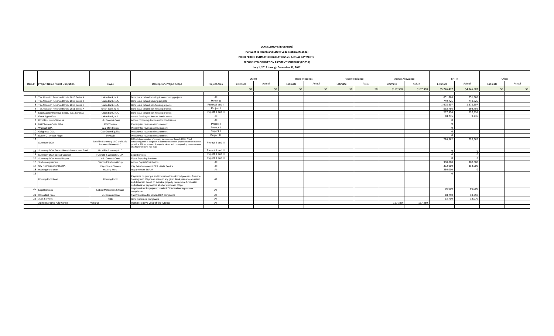**LAKE ELSINORE (RIVERSIDE)**

**Pursuant to Health and Safety Code section 34186 (a)**

**PRIOR PERIOD ESTIMATED OBLIGATIONS vs. ACTUAL PAYMENTS** 

**RECOGNIZED OBLIGATION PAYMENT SCHEDULE (ROPS II)**

**July 1, 2012 through December 31, 2012**

|                 |                                                   |                                                          |                                                                                                                                                                                                                                                                          |                    |          | <b>LMIHF</b> | <b>Bond Proceeds</b> |        |          | Reserve Balance | Admin Allowance |             | RPTTF       |           | Other    |        |
|-----------------|---------------------------------------------------|----------------------------------------------------------|--------------------------------------------------------------------------------------------------------------------------------------------------------------------------------------------------------------------------------------------------------------------------|--------------------|----------|--------------|----------------------|--------|----------|-----------------|-----------------|-------------|-------------|-----------|----------|--------|
|                 | Item # Project Name / Debt Obligation             | Payee                                                    | Description/Project Scope                                                                                                                                                                                                                                                | Project Area       | Estimate | Actual       | Estimate             | Actual | Estimate | Actual          | Estimate        | Actual      | Estimate    | Actual    | Estimate | Actual |
|                 |                                                   |                                                          |                                                                                                                                                                                                                                                                          |                    |          | $\zeta$      |                      | \$0    |          | \$157,380       | \$157,380       | \$5,246,477 | \$4,946,807 | $\leq$    | \$0      |        |
|                 |                                                   |                                                          |                                                                                                                                                                                                                                                                          |                    |          |              |                      |        |          |                 |                 |             |             |           |          |        |
|                 | Tax Allocation Revenue Bonds, 2010 Series A       | Union Bank, N.A.                                         | Bond issue to fund housing & non-housing projects                                                                                                                                                                                                                        | All                |          |              |                      |        |          |                 |                 |             | 651.866     | 651.866   |          |        |
|                 | 7 Tax Allocation Revenue Bonds, 2010 Series B     | Union Bank, N.A.                                         | Bond issue to fund housing projects                                                                                                                                                                                                                                      | Housing            |          |              |                      |        |          |                 |                 |             | 749,725     | 749.725   |          |        |
|                 | 3 Tax Allocation Revenue Bonds, 2010 Series C     | Union Bank, N.A.                                         | Bond issue to fund non-housing projects                                                                                                                                                                                                                                  | Project I and II   |          |              |                      |        |          |                 |                 |             | 1,678,607   | 1,678,607 |          |        |
|                 | 4 Tax Allocation Revenue Bonds, 2011 Series A     | Union Bank, N. A.                                        | Bond issue to fund non-housing projects                                                                                                                                                                                                                                  | Project I          |          |              |                      |        |          |                 |                 |             | 592.756     | 592.756   |          |        |
|                 | 5 Local Agency Revenue Bonds, 2011 Series A       | Union Bank, N.A.                                         | Bond issue to fund non-housing projects                                                                                                                                                                                                                                  | Project II and III |          |              |                      |        |          |                 |                 |             | 257.636     | 257.636   |          |        |
|                 | <b>5</b> Fiscal Agent Fees                        | Union Bank, N.A.                                         | Annual fiscal agent fees for bonds issues                                                                                                                                                                                                                                | All                |          |              |                      |        |          |                 |                 |             | 48.775      | 9.735     |          |        |
|                 | Bond Disclosure Services                          | HdL Coren & Cone                                         | Annual continuing disclosure for bond issues                                                                                                                                                                                                                             | All                |          |              |                      |        |          |                 |                 |             |             |           |          |        |
|                 | 8 MG/Chelsea Outlet OPA                           | MG/Chelsea                                               | Property tax revenue reimbursement                                                                                                                                                                                                                                       | Project I          |          |              |                      |        |          |                 |                 |             |             |           |          |        |
|                 | 9 Walmart DDA                                     | Wal-Mart Stores                                          | Property tax revenue reimbursement                                                                                                                                                                                                                                       | Project II         |          |              |                      |        |          |                 |                 |             |             |           |          |        |
|                 | 10 Oakgroves DDA                                  | Oak Grove Equities                                       | Property tax revenue reimbursement                                                                                                                                                                                                                                       | Project II         |          |              |                      |        |          |                 |                 |             |             |           |          |        |
|                 | 11 EVMWD - Amber Ridge                            | <b>EVMWD</b>                                             | Property tax revenue reimbursement                                                                                                                                                                                                                                       | Project III        |          |              |                      |        |          |                 |                 |             |             |           |          |        |
| 12 <sup>1</sup> | Summerly DDA                                      | McMillin Summerly LLC and Civic<br>Partners-Elsinore LLC | DDA pledges a portion of property tax revenues through 2038. Total<br>outstanding debt or obligation is estimated based on projections of tax revenue<br>growth at 2% per annum. If property values and corresponding revenues grow<br>at a higher or lower rate than    | Project II and III |          |              |                      |        |          |                 |                 |             | 226,662     | 226,662   |          |        |
|                 | 13 Summerly DDA Extraordinary Infrastructure Fund | Mc Millin Summerly LLC                                   |                                                                                                                                                                                                                                                                          | Project II and III |          |              |                      |        |          |                 |                 |             |             |           |          |        |
|                 | 14 Summerly DDA Special Counsel                   | Fulbright & Jaworski L.L.P                               | <b>Legal Services</b>                                                                                                                                                                                                                                                    | Project II and III |          |              |                      |        |          |                 |                 |             |             |           |          |        |
|                 | 15 Summerly DDA Annual Report                     | HdL Coren & Cone                                         | <b>Fiscal Reporting Services</b>                                                                                                                                                                                                                                         | Project II and III |          |              |                      |        |          |                 |                 |             |             |           |          |        |
|                 | 16 Stadium Agreement                              | Diamond Stadium Group                                    | Annual Capital Contribution                                                                                                                                                                                                                                              | All                |          |              |                      |        |          |                 |                 |             | 300,000     | 300,000   |          |        |
|                 | 17 City Reimbursement LERA                        | City of Lake Elsinore                                    | City Reimbursement LERA - Debt Service                                                                                                                                                                                                                                   | All                |          |              |                      |        |          |                 |                 |             | 352.000     | 352.000   |          |        |
|                 | 18 Housing Fund Loan                              | Housing Fund                                             | Repayment of SERAF                                                                                                                                                                                                                                                       | All                |          |              |                      |        |          |                 |                 |             | 260,000     |           |          |        |
|                 | Housing Fund Loan                                 | Housing Fund                                             | Payments on principal and interest on loan of bond proceeds from the<br>housing fund. Payments made in any given fiscal year are calculated<br>and disbursed based on available property tax revenue funds after<br>deductions for payment of all other debts and obliga | All                |          |              |                      |        |          |                 |                 |             |             |           |          |        |
|                 | 20 Legal Services                                 | Leibold McClendon & Mann                                 | Legal services for projects, bonds & DDA/Stadium Agreement<br>compliance.                                                                                                                                                                                                | All                |          |              |                      |        |          |                 |                 |             | 96,000      | 96,000    |          |        |
|                 | 21 Consultant Fees                                | HdL Coren & Cone                                         | Tax Projections for bond & DDA compliance                                                                                                                                                                                                                                | All                |          |              |                      |        |          |                 |                 |             | 18,750      | 18.750    |          |        |
|                 | 22 Audit Services                                 | <b>TRD</b>                                               | Bond disclosure compliance                                                                                                                                                                                                                                               | All                |          |              |                      |        |          |                 |                 |             | 13.700      | 13.070    |          |        |
|                 | Administrative Allowance                          | Various                                                  | Administrative Cost of the Agency                                                                                                                                                                                                                                        | All                |          |              |                      |        |          |                 | 157.380         | 157,380     |             |           |          |        |
|                 |                                                   |                                                          |                                                                                                                                                                                                                                                                          |                    |          |              |                      |        |          |                 |                 |             |             |           |          |        |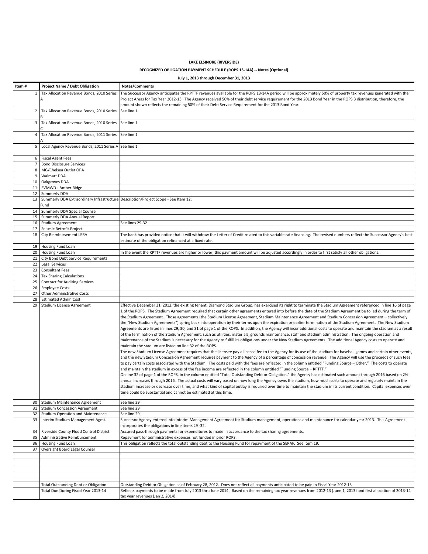# **LAKE ELSINORE (RIVERSIDE)**

### **RECOGNIZED OBLIGATION PAYMENT SCHEDULE (ROPS 13-14A) -- Notes (Optional)**

|                | July 1, 2013 through December 31, 2013                                                     |                                                                                                                                                                                                                                                                                                                                                                                                                                                                                                                                                                                                                                                                                                                                                                                                                                                                                                                                                                                                                                                                                                                                                                                                                                                                                                                                                                                                                                                                                                                                                                                                                                                                                                                                                                                                                                                                                                                                                                                                                                                                                                                                                                                                                                                                                                                                                                                                                                                          |  |  |  |  |  |  |
|----------------|--------------------------------------------------------------------------------------------|----------------------------------------------------------------------------------------------------------------------------------------------------------------------------------------------------------------------------------------------------------------------------------------------------------------------------------------------------------------------------------------------------------------------------------------------------------------------------------------------------------------------------------------------------------------------------------------------------------------------------------------------------------------------------------------------------------------------------------------------------------------------------------------------------------------------------------------------------------------------------------------------------------------------------------------------------------------------------------------------------------------------------------------------------------------------------------------------------------------------------------------------------------------------------------------------------------------------------------------------------------------------------------------------------------------------------------------------------------------------------------------------------------------------------------------------------------------------------------------------------------------------------------------------------------------------------------------------------------------------------------------------------------------------------------------------------------------------------------------------------------------------------------------------------------------------------------------------------------------------------------------------------------------------------------------------------------------------------------------------------------------------------------------------------------------------------------------------------------------------------------------------------------------------------------------------------------------------------------------------------------------------------------------------------------------------------------------------------------------------------------------------------------------------------------------------------------|--|--|--|--|--|--|
| ltem #         | <b>Project Name / Debt Obligation</b>                                                      | Notes/Comments                                                                                                                                                                                                                                                                                                                                                                                                                                                                                                                                                                                                                                                                                                                                                                                                                                                                                                                                                                                                                                                                                                                                                                                                                                                                                                                                                                                                                                                                                                                                                                                                                                                                                                                                                                                                                                                                                                                                                                                                                                                                                                                                                                                                                                                                                                                                                                                                                                           |  |  |  |  |  |  |
| $\mathbf{1}$   | Tax Allocation Revenue Bonds, 2010 Series                                                  | The Successor Agency anticipates the RPTTF revenues available for the ROPS 13-14A period will be approximately 50% of property tax revenues generated with the<br>Project Areas for Tax Year 2012-13. The Agency received 50% of their debt service requirement for the 2013 Bond Year in the ROPS 3 distribution, therefore, the<br>amount shown reflects the remaining 50% of their Debt Service Requirement for the 2013 Bond Year.                                                                                                                                                                                                                                                                                                                                                                                                                                                                                                                                                                                                                                                                                                                                                                                                                                                                                                                                                                                                                                                                                                                                                                                                                                                                                                                                                                                                                                                                                                                                                                                                                                                                                                                                                                                                                                                                                                                                                                                                                   |  |  |  |  |  |  |
| $\overline{2}$ | Tax Allocation Revenue Bonds, 2010 Series                                                  | See line 1                                                                                                                                                                                                                                                                                                                                                                                                                                                                                                                                                                                                                                                                                                                                                                                                                                                                                                                                                                                                                                                                                                                                                                                                                                                                                                                                                                                                                                                                                                                                                                                                                                                                                                                                                                                                                                                                                                                                                                                                                                                                                                                                                                                                                                                                                                                                                                                                                                               |  |  |  |  |  |  |
| 3              | Tax Allocation Revenue Bonds, 2010 Series                                                  | See line 1                                                                                                                                                                                                                                                                                                                                                                                                                                                                                                                                                                                                                                                                                                                                                                                                                                                                                                                                                                                                                                                                                                                                                                                                                                                                                                                                                                                                                                                                                                                                                                                                                                                                                                                                                                                                                                                                                                                                                                                                                                                                                                                                                                                                                                                                                                                                                                                                                                               |  |  |  |  |  |  |
| 4              | Tax Allocation Revenue Bonds, 2011 Series                                                  | See line 1                                                                                                                                                                                                                                                                                                                                                                                                                                                                                                                                                                                                                                                                                                                                                                                                                                                                                                                                                                                                                                                                                                                                                                                                                                                                                                                                                                                                                                                                                                                                                                                                                                                                                                                                                                                                                                                                                                                                                                                                                                                                                                                                                                                                                                                                                                                                                                                                                                               |  |  |  |  |  |  |
| 5              | Local Agency Revenue Bonds, 2011 Series A See line 1                                       |                                                                                                                                                                                                                                                                                                                                                                                                                                                                                                                                                                                                                                                                                                                                                                                                                                                                                                                                                                                                                                                                                                                                                                                                                                                                                                                                                                                                                                                                                                                                                                                                                                                                                                                                                                                                                                                                                                                                                                                                                                                                                                                                                                                                                                                                                                                                                                                                                                                          |  |  |  |  |  |  |
|                | 6   Fiscal Agent Fees                                                                      |                                                                                                                                                                                                                                                                                                                                                                                                                                                                                                                                                                                                                                                                                                                                                                                                                                                                                                                                                                                                                                                                                                                                                                                                                                                                                                                                                                                                                                                                                                                                                                                                                                                                                                                                                                                                                                                                                                                                                                                                                                                                                                                                                                                                                                                                                                                                                                                                                                                          |  |  |  |  |  |  |
|                | 7 Bond Disclosure Services                                                                 |                                                                                                                                                                                                                                                                                                                                                                                                                                                                                                                                                                                                                                                                                                                                                                                                                                                                                                                                                                                                                                                                                                                                                                                                                                                                                                                                                                                                                                                                                                                                                                                                                                                                                                                                                                                                                                                                                                                                                                                                                                                                                                                                                                                                                                                                                                                                                                                                                                                          |  |  |  |  |  |  |
| 8              | MG/Chelsea Outlet OPA                                                                      |                                                                                                                                                                                                                                                                                                                                                                                                                                                                                                                                                                                                                                                                                                                                                                                                                                                                                                                                                                                                                                                                                                                                                                                                                                                                                                                                                                                                                                                                                                                                                                                                                                                                                                                                                                                                                                                                                                                                                                                                                                                                                                                                                                                                                                                                                                                                                                                                                                                          |  |  |  |  |  |  |
| 9              | <b>Walmart DDA</b>                                                                         |                                                                                                                                                                                                                                                                                                                                                                                                                                                                                                                                                                                                                                                                                                                                                                                                                                                                                                                                                                                                                                                                                                                                                                                                                                                                                                                                                                                                                                                                                                                                                                                                                                                                                                                                                                                                                                                                                                                                                                                                                                                                                                                                                                                                                                                                                                                                                                                                                                                          |  |  |  |  |  |  |
| 10             | Oakgroves DDA                                                                              |                                                                                                                                                                                                                                                                                                                                                                                                                                                                                                                                                                                                                                                                                                                                                                                                                                                                                                                                                                                                                                                                                                                                                                                                                                                                                                                                                                                                                                                                                                                                                                                                                                                                                                                                                                                                                                                                                                                                                                                                                                                                                                                                                                                                                                                                                                                                                                                                                                                          |  |  |  |  |  |  |
|                | 11 EVMWD - Amber Ridge                                                                     |                                                                                                                                                                                                                                                                                                                                                                                                                                                                                                                                                                                                                                                                                                                                                                                                                                                                                                                                                                                                                                                                                                                                                                                                                                                                                                                                                                                                                                                                                                                                                                                                                                                                                                                                                                                                                                                                                                                                                                                                                                                                                                                                                                                                                                                                                                                                                                                                                                                          |  |  |  |  |  |  |
| 12             | <b>Summerly DDA</b>                                                                        |                                                                                                                                                                                                                                                                                                                                                                                                                                                                                                                                                                                                                                                                                                                                                                                                                                                                                                                                                                                                                                                                                                                                                                                                                                                                                                                                                                                                                                                                                                                                                                                                                                                                                                                                                                                                                                                                                                                                                                                                                                                                                                                                                                                                                                                                                                                                                                                                                                                          |  |  |  |  |  |  |
| 13             | Summerly DDA Extraordinary Infrastructure Description/Project Scope - See Item 12.<br>Fund |                                                                                                                                                                                                                                                                                                                                                                                                                                                                                                                                                                                                                                                                                                                                                                                                                                                                                                                                                                                                                                                                                                                                                                                                                                                                                                                                                                                                                                                                                                                                                                                                                                                                                                                                                                                                                                                                                                                                                                                                                                                                                                                                                                                                                                                                                                                                                                                                                                                          |  |  |  |  |  |  |
| 14             | Summerly DDA Special Counsel                                                               |                                                                                                                                                                                                                                                                                                                                                                                                                                                                                                                                                                                                                                                                                                                                                                                                                                                                                                                                                                                                                                                                                                                                                                                                                                                                                                                                                                                                                                                                                                                                                                                                                                                                                                                                                                                                                                                                                                                                                                                                                                                                                                                                                                                                                                                                                                                                                                                                                                                          |  |  |  |  |  |  |
| 15             | Summerly DDA Annual Report                                                                 |                                                                                                                                                                                                                                                                                                                                                                                                                                                                                                                                                                                                                                                                                                                                                                                                                                                                                                                                                                                                                                                                                                                                                                                                                                                                                                                                                                                                                                                                                                                                                                                                                                                                                                                                                                                                                                                                                                                                                                                                                                                                                                                                                                                                                                                                                                                                                                                                                                                          |  |  |  |  |  |  |
| 16             | <b>Stadium Agreement</b>                                                                   | See lines 29-32                                                                                                                                                                                                                                                                                                                                                                                                                                                                                                                                                                                                                                                                                                                                                                                                                                                                                                                                                                                                                                                                                                                                                                                                                                                                                                                                                                                                                                                                                                                                                                                                                                                                                                                                                                                                                                                                                                                                                                                                                                                                                                                                                                                                                                                                                                                                                                                                                                          |  |  |  |  |  |  |
| 17             | Seismic Retrofit Project                                                                   |                                                                                                                                                                                                                                                                                                                                                                                                                                                                                                                                                                                                                                                                                                                                                                                                                                                                                                                                                                                                                                                                                                                                                                                                                                                                                                                                                                                                                                                                                                                                                                                                                                                                                                                                                                                                                                                                                                                                                                                                                                                                                                                                                                                                                                                                                                                                                                                                                                                          |  |  |  |  |  |  |
| 18             | City Reimbursement LERA                                                                    | The bank has provided notice that it will withdraw the Letter of Credit related to this variable rate financing. The revised numbers reflect the Successor Agency's best<br>estimate of the obligation refinanced at a fixed rate.                                                                                                                                                                                                                                                                                                                                                                                                                                                                                                                                                                                                                                                                                                                                                                                                                                                                                                                                                                                                                                                                                                                                                                                                                                                                                                                                                                                                                                                                                                                                                                                                                                                                                                                                                                                                                                                                                                                                                                                                                                                                                                                                                                                                                       |  |  |  |  |  |  |
|                | 19 Housing Fund Loan                                                                       |                                                                                                                                                                                                                                                                                                                                                                                                                                                                                                                                                                                                                                                                                                                                                                                                                                                                                                                                                                                                                                                                                                                                                                                                                                                                                                                                                                                                                                                                                                                                                                                                                                                                                                                                                                                                                                                                                                                                                                                                                                                                                                                                                                                                                                                                                                                                                                                                                                                          |  |  |  |  |  |  |
|                | 20 Housing Fund Loan                                                                       | In the event the RPTTF revenues are higher or lower, this payment amount will be adjusted accordingly in order to first satisfy all other obligations.                                                                                                                                                                                                                                                                                                                                                                                                                                                                                                                                                                                                                                                                                                                                                                                                                                                                                                                                                                                                                                                                                                                                                                                                                                                                                                                                                                                                                                                                                                                                                                                                                                                                                                                                                                                                                                                                                                                                                                                                                                                                                                                                                                                                                                                                                                   |  |  |  |  |  |  |
| 21<br>22       | City Bond Debt Service Requirements<br>Legal Services                                      |                                                                                                                                                                                                                                                                                                                                                                                                                                                                                                                                                                                                                                                                                                                                                                                                                                                                                                                                                                                                                                                                                                                                                                                                                                                                                                                                                                                                                                                                                                                                                                                                                                                                                                                                                                                                                                                                                                                                                                                                                                                                                                                                                                                                                                                                                                                                                                                                                                                          |  |  |  |  |  |  |
| 23             | <b>Consultant Fees</b>                                                                     |                                                                                                                                                                                                                                                                                                                                                                                                                                                                                                                                                                                                                                                                                                                                                                                                                                                                                                                                                                                                                                                                                                                                                                                                                                                                                                                                                                                                                                                                                                                                                                                                                                                                                                                                                                                                                                                                                                                                                                                                                                                                                                                                                                                                                                                                                                                                                                                                                                                          |  |  |  |  |  |  |
| 24             | <b>Tax Sharing Calculations</b>                                                            |                                                                                                                                                                                                                                                                                                                                                                                                                                                                                                                                                                                                                                                                                                                                                                                                                                                                                                                                                                                                                                                                                                                                                                                                                                                                                                                                                                                                                                                                                                                                                                                                                                                                                                                                                                                                                                                                                                                                                                                                                                                                                                                                                                                                                                                                                                                                                                                                                                                          |  |  |  |  |  |  |
| 25             | <b>Contract for Auditing Services</b>                                                      |                                                                                                                                                                                                                                                                                                                                                                                                                                                                                                                                                                                                                                                                                                                                                                                                                                                                                                                                                                                                                                                                                                                                                                                                                                                                                                                                                                                                                                                                                                                                                                                                                                                                                                                                                                                                                                                                                                                                                                                                                                                                                                                                                                                                                                                                                                                                                                                                                                                          |  |  |  |  |  |  |
| 26             | <b>Employee Costs</b>                                                                      |                                                                                                                                                                                                                                                                                                                                                                                                                                                                                                                                                                                                                                                                                                                                                                                                                                                                                                                                                                                                                                                                                                                                                                                                                                                                                                                                                                                                                                                                                                                                                                                                                                                                                                                                                                                                                                                                                                                                                                                                                                                                                                                                                                                                                                                                                                                                                                                                                                                          |  |  |  |  |  |  |
| 27             | <b>Other Administrative Costs</b>                                                          |                                                                                                                                                                                                                                                                                                                                                                                                                                                                                                                                                                                                                                                                                                                                                                                                                                                                                                                                                                                                                                                                                                                                                                                                                                                                                                                                                                                                                                                                                                                                                                                                                                                                                                                                                                                                                                                                                                                                                                                                                                                                                                                                                                                                                                                                                                                                                                                                                                                          |  |  |  |  |  |  |
| 28             | <b>Estimated Admin Cost</b>                                                                |                                                                                                                                                                                                                                                                                                                                                                                                                                                                                                                                                                                                                                                                                                                                                                                                                                                                                                                                                                                                                                                                                                                                                                                                                                                                                                                                                                                                                                                                                                                                                                                                                                                                                                                                                                                                                                                                                                                                                                                                                                                                                                                                                                                                                                                                                                                                                                                                                                                          |  |  |  |  |  |  |
| 29             | Stadium License Agreement                                                                  | Effective December 31, 2012, the existing tenant, Diamond Stadium Group, has exercised its right to terminate the Stadium Agreement referenced in line 16 of page<br>1 of the ROPS. The Stadium Agreement required that certain other agreements entered into before the date of the Stadium Agreement be tolled during the term of<br>the Stadium Agreement. Those agreements (the Stadium License Agreement, Stadium Maintenance Agreement and Stadium Concession Agreement - collectively<br>the "New Stadium Agreements") spring back into operation by their terms upon the expiration or earlier termination of the Stadium Agreement. The New Stadium<br>Agreements are listed in lines 29, 30, and 31 of page 1 of the ROPS. In addition, the Agency will incur additional costs to operate and maintain the stadium as a result<br>of the termination of the Stadium Agreement, such as utilities, materials, grounds maintenance, staff and stadium administration. The ongoing operation and<br>maintenance of the Stadium is necessary for the Agency to fulfill its obligations under the New Stadium Agreements. The additional Agency costs to operate and<br>maintain the stadium are listed on line 32 of the ROPS.<br>The new Stadium License Agreement requires that the licensee pay a license fee to the Agency for its use of the stadium for baseball games and certain other events,<br>and the new Stadium Concession Agreement requires payment to the Agency of a percentage of concession revenue. The Agency will use the proceeds of such fees<br>to pay certain costs associated with the Stadium. The costs paid with the fees are reflected in the column entitled "Funding Source - Other." The costs to operate<br>and maintain the stadium in excess of the fee income are reflected in the column entitled "Funding Source - RPTTF."<br>On line 32 of page 1 of the ROPS, in the column entitled "Total Outstanding Debt or Obligation," the Agency has estimated such amount through 2016 based on 2%<br>annual increases through 2016. The actual costs will vary based on how long the Agency owns the stadium, how much costs to operate and regularly maintain the<br>stadium increase or decrease over time, and what kind of capital outlay is required over time to maintain the stadium in its current condition. Capital expenses over<br>time could be substantial and cannot be estimated at this time. |  |  |  |  |  |  |
| 30<br>31       | Stadium Maintenance Agreement<br><b>Stadium Concession Agreement</b>                       | See line 29<br>See line 29                                                                                                                                                                                                                                                                                                                                                                                                                                                                                                                                                                                                                                                                                                                                                                                                                                                                                                                                                                                                                                                                                                                                                                                                                                                                                                                                                                                                                                                                                                                                                                                                                                                                                                                                                                                                                                                                                                                                                                                                                                                                                                                                                                                                                                                                                                                                                                                                                               |  |  |  |  |  |  |
| 32             | Stadium Operation and Maintenance                                                          | See line 29                                                                                                                                                                                                                                                                                                                                                                                                                                                                                                                                                                                                                                                                                                                                                                                                                                                                                                                                                                                                                                                                                                                                                                                                                                                                                                                                                                                                                                                                                                                                                                                                                                                                                                                                                                                                                                                                                                                                                                                                                                                                                                                                                                                                                                                                                                                                                                                                                                              |  |  |  |  |  |  |
| 33             | Interim Stadium Management Agmt.                                                           | Successor Agency entered into Interim Management Agreement for Stadium management, operations and maintenance for calendar year 2013. This Agreement<br>incorporates the obligations in line items 29-32.                                                                                                                                                                                                                                                                                                                                                                                                                                                                                                                                                                                                                                                                                                                                                                                                                                                                                                                                                                                                                                                                                                                                                                                                                                                                                                                                                                                                                                                                                                                                                                                                                                                                                                                                                                                                                                                                                                                                                                                                                                                                                                                                                                                                                                                |  |  |  |  |  |  |
| 34             | Riverside County Flood Control District                                                    | Accured pass-through payments for expenditures to made in accordance to the tax sharing agreements.                                                                                                                                                                                                                                                                                                                                                                                                                                                                                                                                                                                                                                                                                                                                                                                                                                                                                                                                                                                                                                                                                                                                                                                                                                                                                                                                                                                                                                                                                                                                                                                                                                                                                                                                                                                                                                                                                                                                                                                                                                                                                                                                                                                                                                                                                                                                                      |  |  |  |  |  |  |
| 35             | Administrative Reimbursement                                                               | Repayment for administrative expenses not funded in prior ROPS.                                                                                                                                                                                                                                                                                                                                                                                                                                                                                                                                                                                                                                                                                                                                                                                                                                                                                                                                                                                                                                                                                                                                                                                                                                                                                                                                                                                                                                                                                                                                                                                                                                                                                                                                                                                                                                                                                                                                                                                                                                                                                                                                                                                                                                                                                                                                                                                          |  |  |  |  |  |  |
| 36             | Housing Fund Loan                                                                          | This obligation reflects the total outstanding debt to the Housing Fund for repayment of the SERAF. See item 19.                                                                                                                                                                                                                                                                                                                                                                                                                                                                                                                                                                                                                                                                                                                                                                                                                                                                                                                                                                                                                                                                                                                                                                                                                                                                                                                                                                                                                                                                                                                                                                                                                                                                                                                                                                                                                                                                                                                                                                                                                                                                                                                                                                                                                                                                                                                                         |  |  |  |  |  |  |
| 37             | Oversight Board Legal Counsel                                                              |                                                                                                                                                                                                                                                                                                                                                                                                                                                                                                                                                                                                                                                                                                                                                                                                                                                                                                                                                                                                                                                                                                                                                                                                                                                                                                                                                                                                                                                                                                                                                                                                                                                                                                                                                                                                                                                                                                                                                                                                                                                                                                                                                                                                                                                                                                                                                                                                                                                          |  |  |  |  |  |  |
|                |                                                                                            |                                                                                                                                                                                                                                                                                                                                                                                                                                                                                                                                                                                                                                                                                                                                                                                                                                                                                                                                                                                                                                                                                                                                                                                                                                                                                                                                                                                                                                                                                                                                                                                                                                                                                                                                                                                                                                                                                                                                                                                                                                                                                                                                                                                                                                                                                                                                                                                                                                                          |  |  |  |  |  |  |
|                |                                                                                            |                                                                                                                                                                                                                                                                                                                                                                                                                                                                                                                                                                                                                                                                                                                                                                                                                                                                                                                                                                                                                                                                                                                                                                                                                                                                                                                                                                                                                                                                                                                                                                                                                                                                                                                                                                                                                                                                                                                                                                                                                                                                                                                                                                                                                                                                                                                                                                                                                                                          |  |  |  |  |  |  |
|                |                                                                                            |                                                                                                                                                                                                                                                                                                                                                                                                                                                                                                                                                                                                                                                                                                                                                                                                                                                                                                                                                                                                                                                                                                                                                                                                                                                                                                                                                                                                                                                                                                                                                                                                                                                                                                                                                                                                                                                                                                                                                                                                                                                                                                                                                                                                                                                                                                                                                                                                                                                          |  |  |  |  |  |  |
|                |                                                                                            |                                                                                                                                                                                                                                                                                                                                                                                                                                                                                                                                                                                                                                                                                                                                                                                                                                                                                                                                                                                                                                                                                                                                                                                                                                                                                                                                                                                                                                                                                                                                                                                                                                                                                                                                                                                                                                                                                                                                                                                                                                                                                                                                                                                                                                                                                                                                                                                                                                                          |  |  |  |  |  |  |
|                |                                                                                            |                                                                                                                                                                                                                                                                                                                                                                                                                                                                                                                                                                                                                                                                                                                                                                                                                                                                                                                                                                                                                                                                                                                                                                                                                                                                                                                                                                                                                                                                                                                                                                                                                                                                                                                                                                                                                                                                                                                                                                                                                                                                                                                                                                                                                                                                                                                                                                                                                                                          |  |  |  |  |  |  |
|                | Total Outstanding Debt or Obligation<br>Total Due During Fiscal Year 2013-14               | Outstanding Debt or Obligation as of February 28, 2012. Does not reflect all payments anticipated to be paid in Fiscal Year 2012-13<br>Reflects payments to be made from July 2013 thru June 2014. Based on the remaining tax year revenues from 2012-13 (June 1, 2013) and first allocation of 2013-14<br>tax year revenues (Jan 2, 2014).                                                                                                                                                                                                                                                                                                                                                                                                                                                                                                                                                                                                                                                                                                                                                                                                                                                                                                                                                                                                                                                                                                                                                                                                                                                                                                                                                                                                                                                                                                                                                                                                                                                                                                                                                                                                                                                                                                                                                                                                                                                                                                              |  |  |  |  |  |  |